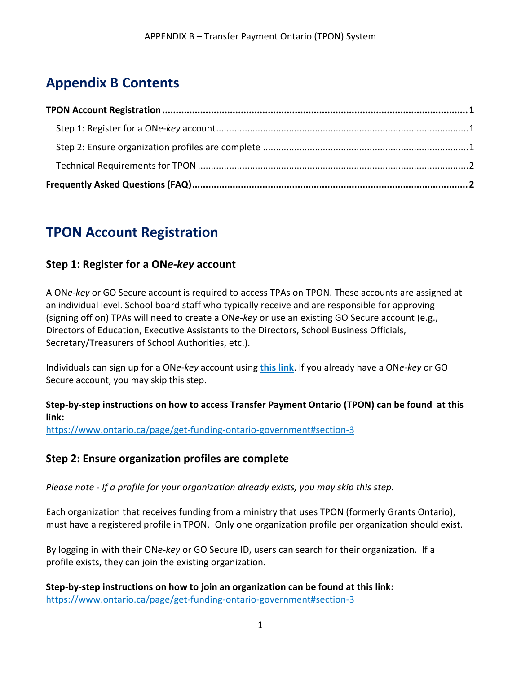## **Appendix B Contents**

## <span id="page-0-0"></span>**TPON Account Registration**

## <span id="page-0-1"></span>**Step 1: Register for a ON***e-key* **account**

A ON*e-key* or GO Secure account is required to access TPAs on TPON. These accounts are assigned at an individual level. School board staff who typically receive and are responsible for approving (signing off on) TPAs will need to create a ON*e-key* or use an existing GO Secure account (e.g., Directors of Education, Executive Assistants to the Directors, School Business Officials, Secretary/Treasurers of School Authorities, etc.).

Individuals can sign up for a ON*e-key* account using **[this link](https://www.app.grants.gov.on.ca/gr/tpcr/#/externalLogin)**. If you already have a ON*e-key* or GO Secure account, you may skip this step.

#### **Step-by-step instructions on how to access Transfer Payment Ontario (TPON) can be found at this link:**

<https://www.ontario.ca/page/get-funding-ontario-government#section-3>

## <span id="page-0-2"></span>**Step 2: Ensure organization profiles are complete**

*Please note - If a profile for your organization already exists, you may skip this step.*

Each organization that receives funding from a ministry that uses TPON (formerly Grants Ontario), must have a registered profile in TPON. Only one organization profile per organization should exist.

By logging in with their ON*e-key* or GO Secure ID, users can search for their organization. If a profile exists, they can join the existing organization.

**Step-by-step instructions on how to join an organization can be found at this link:**  <https://www.ontario.ca/page/get-funding-ontario-government#section-3>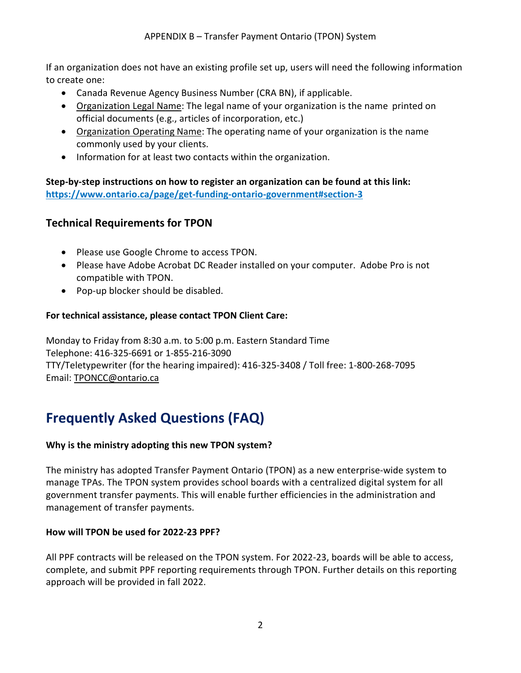If an organization does not have an existing profile set up, users will need the following information to create one:

- Canada Revenue Agency Business Number (CRA BN), if applicable.
- Organization Legal Name: The legal name of your organization is the name printed on official documents (e.g., articles of incorporation, etc.)
- Organization Operating Name: The operating name of your organization is the name commonly used by your clients.
- Information for at least two contacts within the organization.

**Step-by-step instructions on how to register an organization can be found at this link: <https://www.ontario.ca/page/get-funding-ontario-government#section-3>**

## <span id="page-1-0"></span>**Technical Requirements for TPON**

- Please use Google Chrome to access TPON.
- Please have Adobe Acrobat DC Reader installed on your computer. Adobe Pro is not compatible with TPON.
- Pop-up blocker should be disabled.

### **For technical assistance, please contact TPON Client Care:**

Monday to Friday from 8:30 a.m. to 5:00 p.m. Eastern Standard Time Telephone: 416-325-6691 or 1-855-216-3090 TTY/Teletypewriter (for the hearing impaired): 416-325-3408 / Toll free: 1-800-268-7095 Email: [TPONCC@ontario.ca](mailto:TPONCC@ontario.ca)

# <span id="page-1-1"></span>**Frequently Asked Questions (FAQ)**

### **Why is the ministry adopting this new TPON system?**

The ministry has adopted Transfer Payment Ontario (TPON) as a new enterprise-wide system to manage TPAs. The TPON system provides school boards with a centralized digital system for all government transfer payments. This will enable further efficiencies in the administration and management of transfer payments.

### **How will TPON be used for 2022-23 PPF?**

All PPF contracts will be released on the TPON system. For 2022-23, boards will be able to access, complete, and submit PPF reporting requirements through TPON. Further details on this reporting approach will be provided in fall 2022.